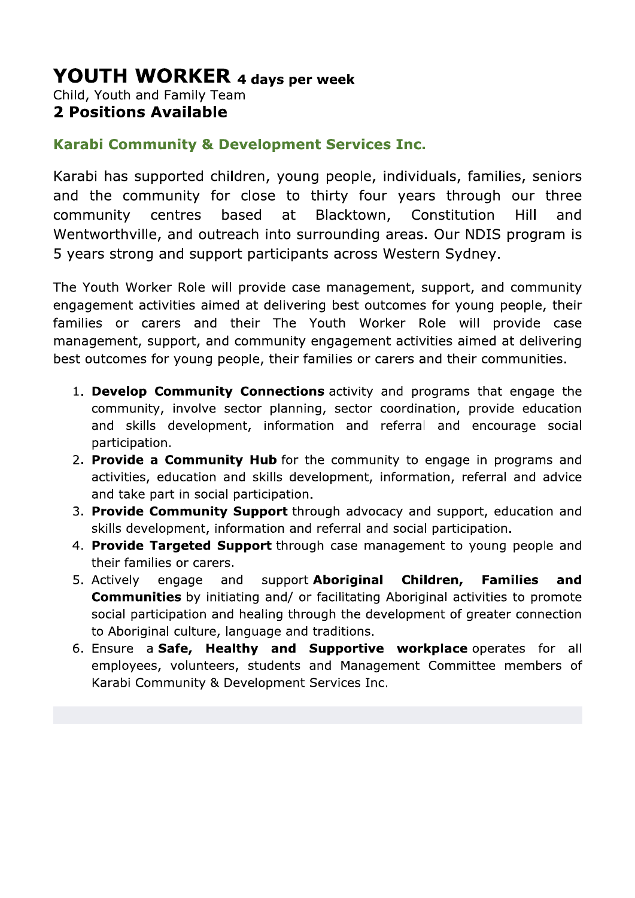# **YOUTH WORKER 4 days per week** Child, Youth and Family Team

# **2 Positions Available**

# **Karabi Community & Development Services Inc.**

Karabi has supported children, young people, individuals, families, seniors and the community for close to thirty four years through our three based Blacktown, community centres at Constitution **Hill** and Wentworthville, and outreach into surrounding areas. Our NDIS program is 5 years strong and support participants across Western Sydney.

The Youth Worker Role will provide case management, support, and community engagement activities aimed at delivering best outcomes for young people, their families or carers and their The Youth Worker Role will provide case management, support, and community engagement activities aimed at delivering best outcomes for young people, their families or carers and their communities.

- 1. Develop Community Connections activity and programs that engage the community, involve sector planning, sector coordination, provide education and skills development, information and referral and encourage social participation.
- 2. Provide a Community Hub for the community to engage in programs and activities, education and skills development, information, referral and advice and take part in social participation.
- 3. Provide Community Support through advocacy and support, education and skills development, information and referral and social participation.
- 4. Provide Targeted Support through case management to young people and their families or carers.
- 5. Actively engage and support Aboriginal Children, **Families** and **Communities** by initiating and/ or facilitating Aboriginal activities to promote social participation and healing through the development of greater connection to Aboriginal culture, language and traditions.
- 6. Ensure a Safe, Healthy and Supportive workplace operates for all employees, volunteers, students and Management Committee members of Karabi Community & Development Services Inc.